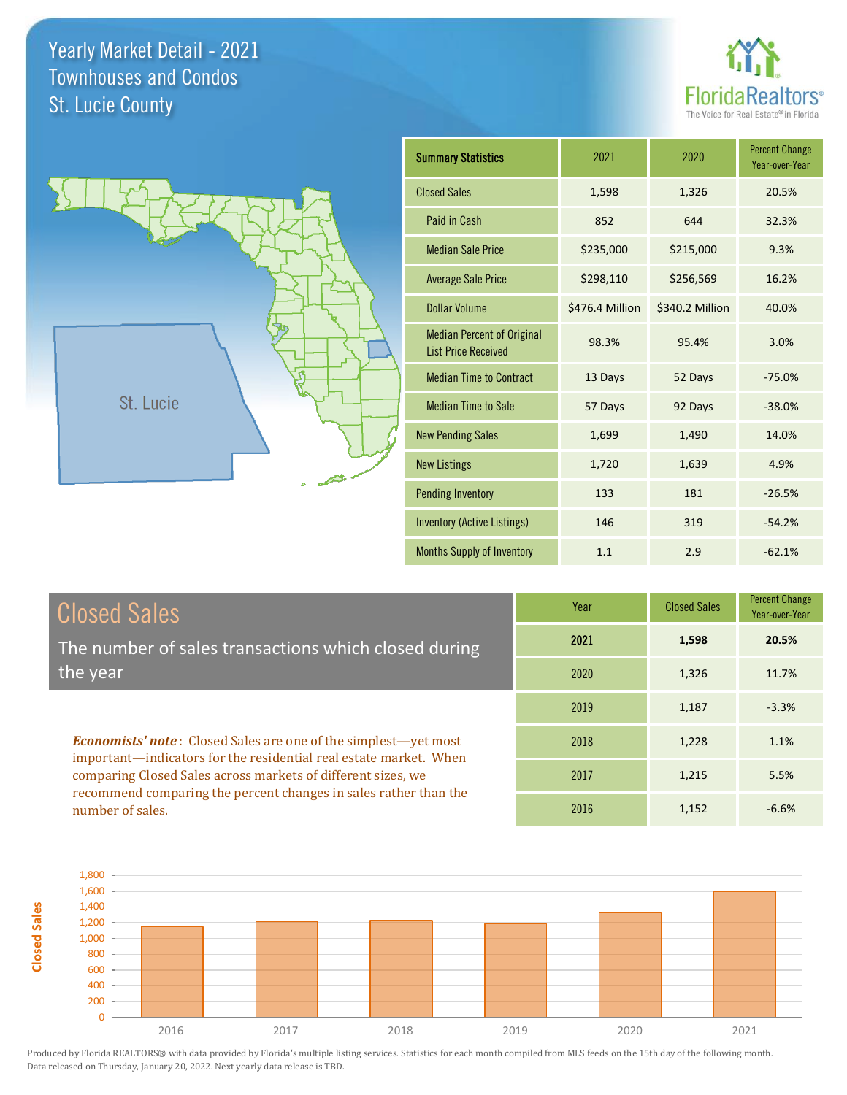number of sales.



lge par

-6.6%



| <b>Summary Statistics</b>                                       | 2021            | 2020            | <b>Percent Change</b><br>Year-over-Year |
|-----------------------------------------------------------------|-----------------|-----------------|-----------------------------------------|
| <b>Closed Sales</b>                                             | 1,598           | 1,326           | 20.5%                                   |
| Paid in Cash                                                    | 852             | 644             | 32.3%                                   |
| <b>Median Sale Price</b>                                        | \$235,000       | \$215,000       | 9.3%                                    |
| <b>Average Sale Price</b>                                       | \$298,110       | \$256,569       | 16.2%                                   |
| Dollar Volume                                                   | \$476.4 Million | \$340.2 Million | 40.0%                                   |
| <b>Median Percent of Original</b><br><b>List Price Received</b> | 98.3%           | 95.4%           | 3.0%                                    |
| <b>Median Time to Contract</b>                                  | 13 Days         | 52 Days         | $-75.0%$                                |
| <b>Median Time to Sale</b>                                      | 57 Days         | 92 Days         | $-38.0%$                                |
| <b>New Pending Sales</b>                                        | 1,699           | 1,490           | 14.0%                                   |
| <b>New Listings</b>                                             | 1,720           | 1,639           | 4.9%                                    |
| <b>Pending Inventory</b>                                        | 133             | 181             | $-26.5%$                                |
| <b>Inventory (Active Listings)</b>                              | 146             | 319             | $-54.2%$                                |
| Months Supply of Inventory                                      | 1.1             | 2.9             | $-62.1%$                                |

2016 1,152

| <b>Closed Sales</b>                                                                                                                                                                                         | Year | <b>Closed Sales</b> | <b>Percent Cha</b><br>Year-over-Y |
|-------------------------------------------------------------------------------------------------------------------------------------------------------------------------------------------------------------|------|---------------------|-----------------------------------|
| The number of sales transactions which closed during                                                                                                                                                        | 2021 | 1,598               | 20.5%                             |
| the year                                                                                                                                                                                                    | 2020 | 1.326               | 11.7%                             |
|                                                                                                                                                                                                             | 2019 | 1,187               | $-3.3%$                           |
| <b>Economists' note:</b> Closed Sales are one of the simplest—yet most<br>important—indicators for the residential real estate market. When<br>comparing Closed Sales across markets of different sizes, we | 2018 | 1,228               | 1.1%                              |
|                                                                                                                                                                                                             | 2017 | 1.215               | 5.5%                              |
| recommend comparing the percent changes in sales rather than the                                                                                                                                            |      |                     |                                   |

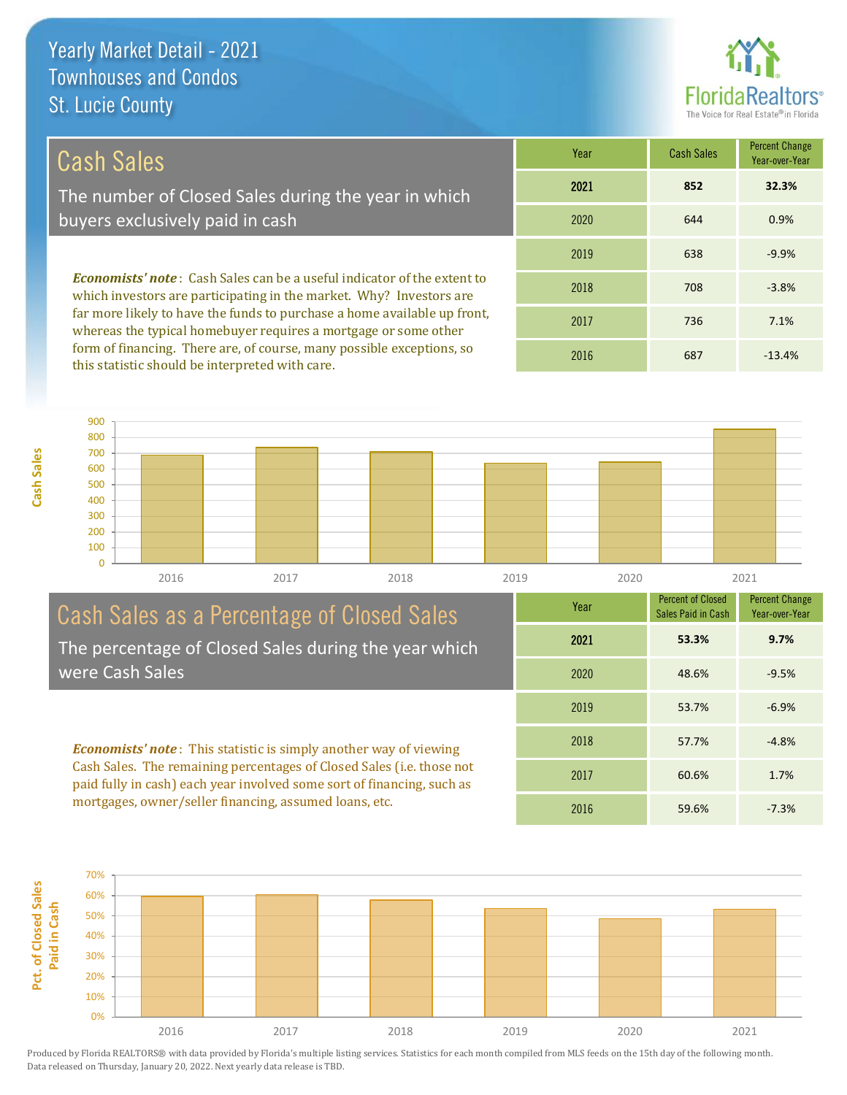

## Cash Sales

**Cash Sales**

The number of Closed Sales during the year in which buyers exclusively paid in cash

*Economists' note* : Cash Sales can be a useful indicator of the extent to which investors are participating in the market. Why? Investors are far more likely to have the funds to purchase a home available up front, whereas the typical homebuyer requires a mortgage or some other form of financing. There are, of course, many possible exceptions, so this statistic should be interpreted with care.

| Year | <b>Cash Sales</b> | <b>Percent Change</b><br>Year-over-Year |
|------|-------------------|-----------------------------------------|
| 2021 | 852               | 32.3%                                   |
| 2020 | 644               | 0.9%                                    |
| 2019 | 638               | $-9.9%$                                 |
| 2018 | 708               | $-3.8%$                                 |
| 2017 | 736               | 7.1%                                    |
| 2016 | 687               | $-13.4%$                                |



#### Cash Sales as a Percentage of Closed Sales The percentage of Closed Sales during the year which were Cash Sales

*Economists' note* : This statistic is simply another way of viewing Cash Sales. The remaining percentages of Closed Sales (i.e. those not paid fully in cash) each year involved some sort of financing, such as mortgages, owner/seller financing, assumed loans, etc.



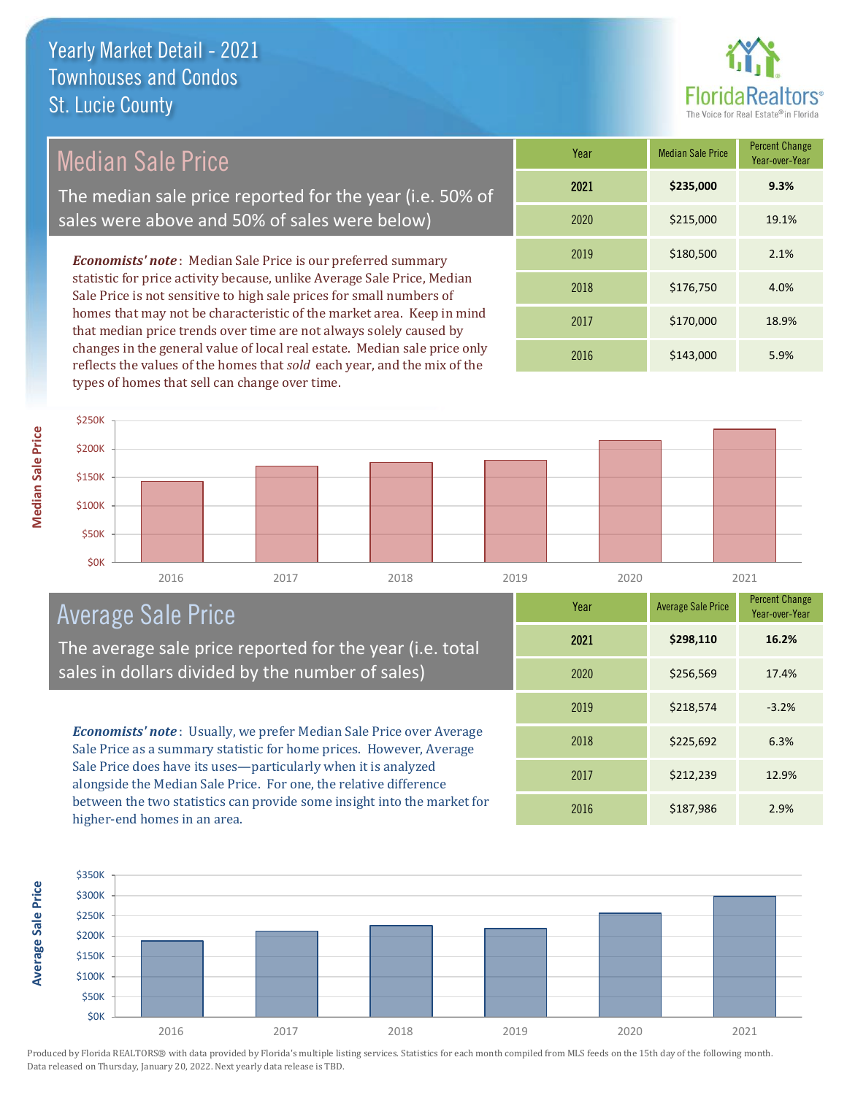

## Median Sale Price

The median sale price reported for the year (i.e. 50% of sales were above and 50% of sales were below)

*Economists' note* : Median Sale Price is our preferred summary statistic for price activity because, unlike Average Sale Price, Median Sale Price is not sensitive to high sale prices for small numbers of homes that may not be characteristic of the market area. Keep in mind that median price trends over time are not always solely caused by changes in the general value of local real estate. Median sale price only reflects the values of the homes that *sold* each year, and the mix of the types of homes that sell can change over time.

| Year | <b>Median Sale Price</b> | <b>Percent Change</b><br>Year-over-Year |
|------|--------------------------|-----------------------------------------|
| 2021 | \$235,000                | 9.3%                                    |
| 2020 | \$215,000                | 19.1%                                   |
| 2019 | \$180,500                | 2.1%                                    |
| 2018 | \$176,750                | 4.0%                                    |
| 2017 | \$170,000                | 18.9%                                   |
| 2016 | \$143,000                | 5.9%                                    |

#### 2016 2017 2018 2019 2020 2021 **\$0K** \$50K \$100K \$150K \$200K \$250K

## Average Sale Price

The average sale price reported for the year (i.e. total sales in dollars divided by the number of sales)

*Economists' note* : Usually, we prefer Median Sale Price over Average Sale Price as a summary statistic for home prices. However, Average Sale Price does have its uses—particularly when it is analyzed alongside the Median Sale Price. For one, the relative difference between the two statistics can provide some insight into the market for higher-end homes in an area.

| Year | <b>Average Sale Price</b> | <b>Percent Change</b><br>Year-over-Year |
|------|---------------------------|-----------------------------------------|
| 2021 | \$298,110                 | 16.2%                                   |
| 2020 | \$256,569                 | 17.4%                                   |
| 2019 | \$218,574                 | $-3.2%$                                 |
| 2018 | \$225,692                 | 6.3%                                    |
| 2017 | \$212,239                 | 12.9%                                   |
| 2016 | \$187,986                 | 2.9%                                    |



**Average Sale Price Average Sale Price**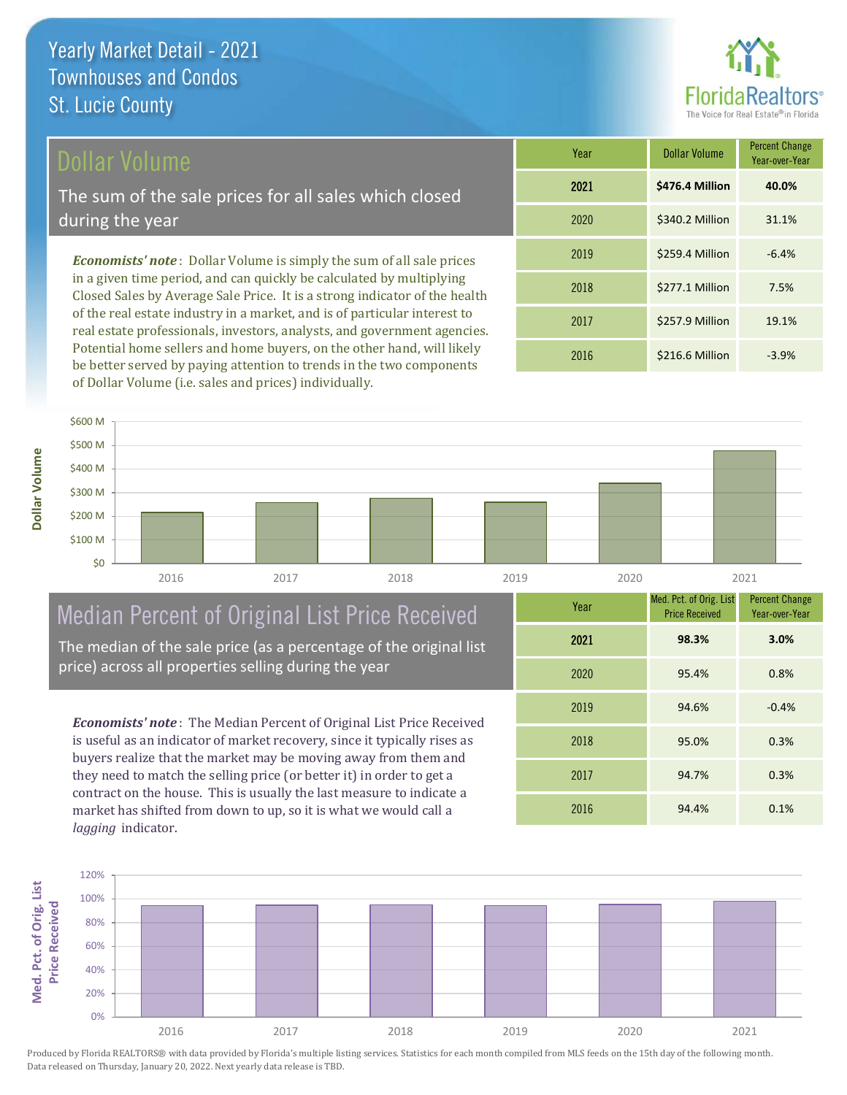## Dollar Volume

**Dollar Volume**

The sum of the sale prices for all sales which closed during the year

*Economists' note* : Dollar Volume is simply the sum of all sale prices in a given time period, and can quickly be calculated by multiplying Closed Sales by Average Sale Price. It is a strong indicator of the health of the real estate industry in a market, and is of particular interest to real estate professionals, investors, analysts, and government agencies. Potential home sellers and home buyers, on the other hand, will likely be better served by paying attention to trends in the two components of Dollar Volume (i.e. sales and prices) individually.

| Year | <b>Dollar Volume</b> | <b>Percent Change</b><br>Year-over-Year |
|------|----------------------|-----------------------------------------|
| 2021 | \$476.4 Million      | 40.0%                                   |
| 2020 | \$340.2 Million      | 31.1%                                   |
| 2019 | \$259.4 Million      | $-6.4%$                                 |
| 2018 | \$277.1 Million      | 7.5%                                    |
| 2017 | \$257.9 Million      | 19.1%                                   |
| 2016 | \$216.6 Million      | $-3.9%$                                 |



## Median Percent of Original List Price Received

The median of the sale price (as a percentage of the original list price) across all properties selling during the year

*Economists' note* : The Median Percent of Original List Price Received is useful as an indicator of market recovery, since it typically rises as buyers realize that the market may be moving away from them and they need to match the selling price (or better it) in order to get a contract on the house. This is usually the last measure to indicate a market has shifted from down to up, so it is what we would call a *lagging* indicator.

| Year | Med. Pct. of Orig. List<br><b>Price Received</b> | <b>Percent Change</b><br>Year-over-Year |
|------|--------------------------------------------------|-----------------------------------------|
| 2021 | 98.3%                                            | 3.0%                                    |
| 2020 | 95.4%                                            | 0.8%                                    |
| 2019 | 94.6%                                            | $-0.4%$                                 |
| 2018 | 95.0%                                            | 0.3%                                    |
| 2017 | 94.7%                                            | 0.3%                                    |
| 2016 | 94.4%                                            | 0.1%                                    |

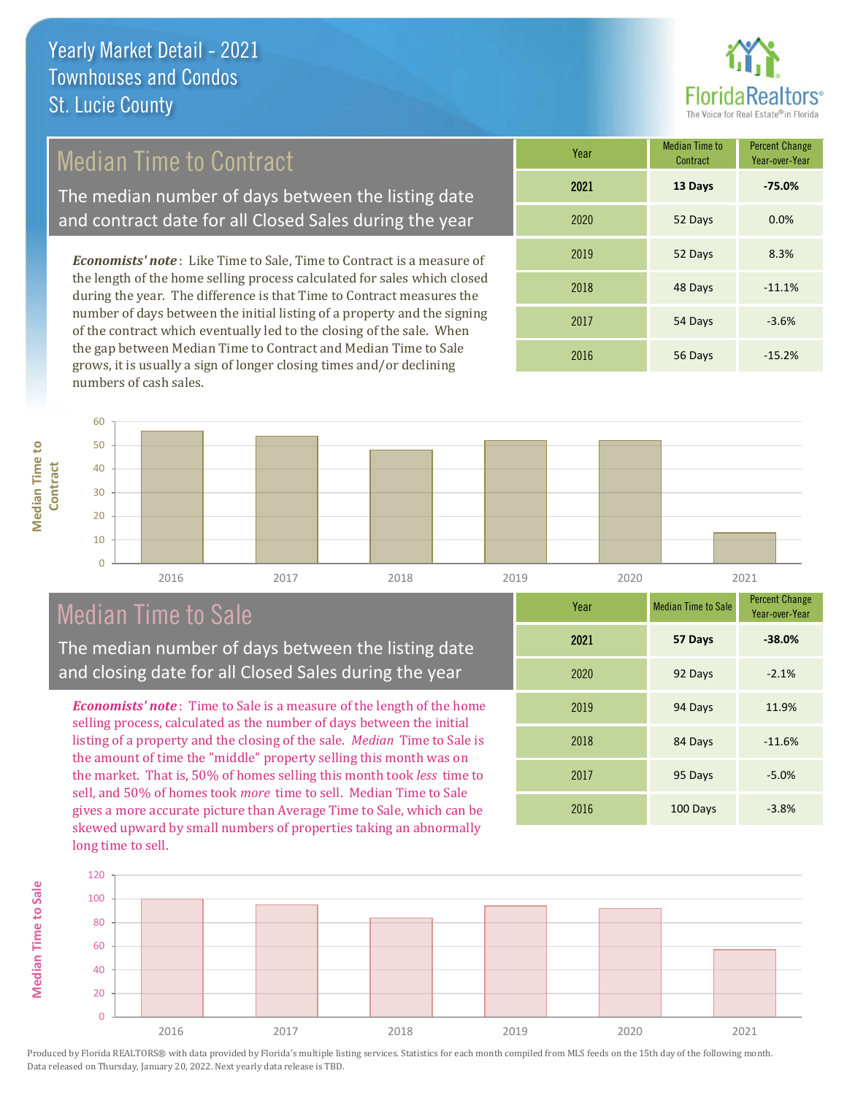

## Median Time to Contract

The median number of days between the listing date and contract date for all Closed Sales during the year

*Economists' note* : Like Time to Sale, Time to Contract is a measure of the length of the home selling process calculated for sales which closed during the year. The difference is that Time to Contract measures the number of days between the initial listing of a property and the signing of the contract which eventually led to the closing of the sale. When the gap between Median Time to Contract and Median Time to Sale grows, it is usually a sign of longer closing times and/or declining numbers of cash sales.

| Year | <b>Median Time to</b><br>Contract | <b>Percent Change</b><br>Year-over-Year |
|------|-----------------------------------|-----------------------------------------|
| 2021 | 13 Days                           | $-75.0%$                                |
| 2020 | 52 Days                           | 0.0%                                    |
| 2019 | 52 Days                           | 8.3%                                    |
| 2018 | 48 Days                           | $-11.1%$                                |
| 2017 | 54 Days                           | $-3.6%$                                 |
| 2016 | 56 Days                           | $-15.2%$                                |



**Median Time to Sale**

**Median Time to Sale** 



## Median Time to Sale

The median number of days between the listing date and closing date for all Closed Sales during the year

*Economists' note* : Time to Sale is a measure of the length of the home selling process, calculated as the number of days between the initial listing of a property and the closing of the sale. *Median* Time to Sale is the amount of time the "middle" property selling this month was on the market. That is, 50% of homes selling this month took *less* time to sell, and 50% of homes took *more* time to sell. Median Time to Sale gives a more accurate picture than Average Time to Sale, which can be skewed upward by small numbers of properties taking an abnormally long time to sell.

| Year | <b>Median Time to Sale</b> | <b>Percent Change</b><br>Year-over-Year |
|------|----------------------------|-----------------------------------------|
| 2021 | 57 Days                    | $-38.0%$                                |
| 2020 | 92 Days                    | $-2.1%$                                 |
| 2019 | 94 Days                    | 11.9%                                   |
| 2018 | 84 Days                    | $-11.6%$                                |
| 2017 | 95 Days                    | $-5.0%$                                 |
| 2016 | 100 Days                   | $-3.8%$                                 |

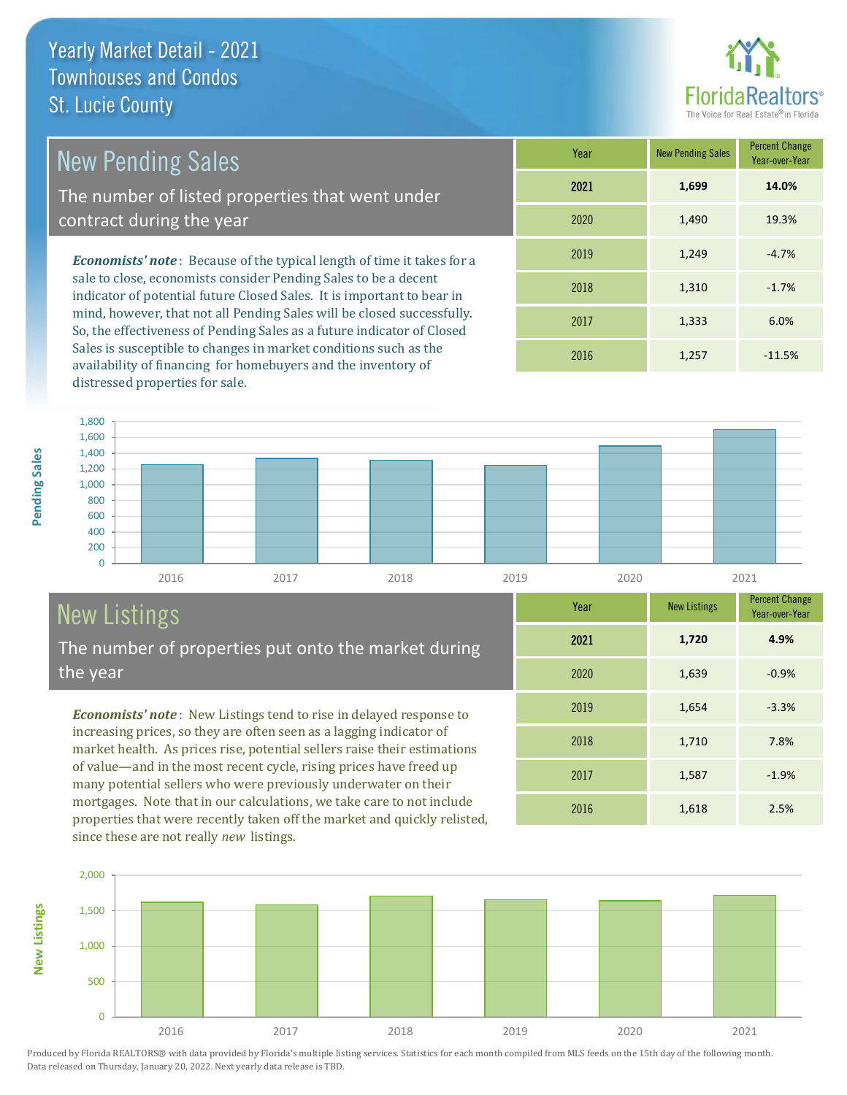

1,710 7.8%

2016 1,618 2.5%

2017 1,587 -1.9%

2019 1,654 -3.3%

2020 1,639 -0.9%

Year-over-Year

**4.9%**

## New Pending Sales

The number of listed properties that went under contract during the year

*Economists' note* : Because of the typical length of time it takes for a sale to close, economists consider Pending Sales to be a decent indicator of potential future Closed Sales. It is important to bear in mind, however, that not all Pending Sales will be closed successfully. So, the effectiveness of Pending Sales as a future indicator of Closed Sales is susceptible to changes in market conditions such as the availability of financing for homebuyers and the inventory of distressed properties for sale.

| Year | <b>New Pending Sales</b> | <b>Percent Change</b><br>Year-over-Year |
|------|--------------------------|-----------------------------------------|
| 2021 | 1,699                    | 14.0%                                   |
| 2020 | 1,490                    | 19.3%                                   |
| 2019 | 1,249                    | $-4.7%$                                 |
| 2018 | 1,310                    | $-1.7%$                                 |
| 2017 | 1,333                    | 6.0%                                    |
| 2016 | 1,257                    | $-11.5%$                                |

2021 **1,720**

2018



# New Listings

**New Listings**

Pending Sales

The number of properties put onto the market during the year

*Economists' note* : New Listings tend to rise in delayed response to increasing prices, so they are often seen as a lagging indicator of market health. As prices rise, potential sellers raise their estimations of value—and in the most recent cycle, rising prices have freed up many potential sellers who were previously underwater on their mortgages. Note that in our calculations, we take care to not include properties that were recently taken off the market and quickly relisted, since these are not really *new* listings.

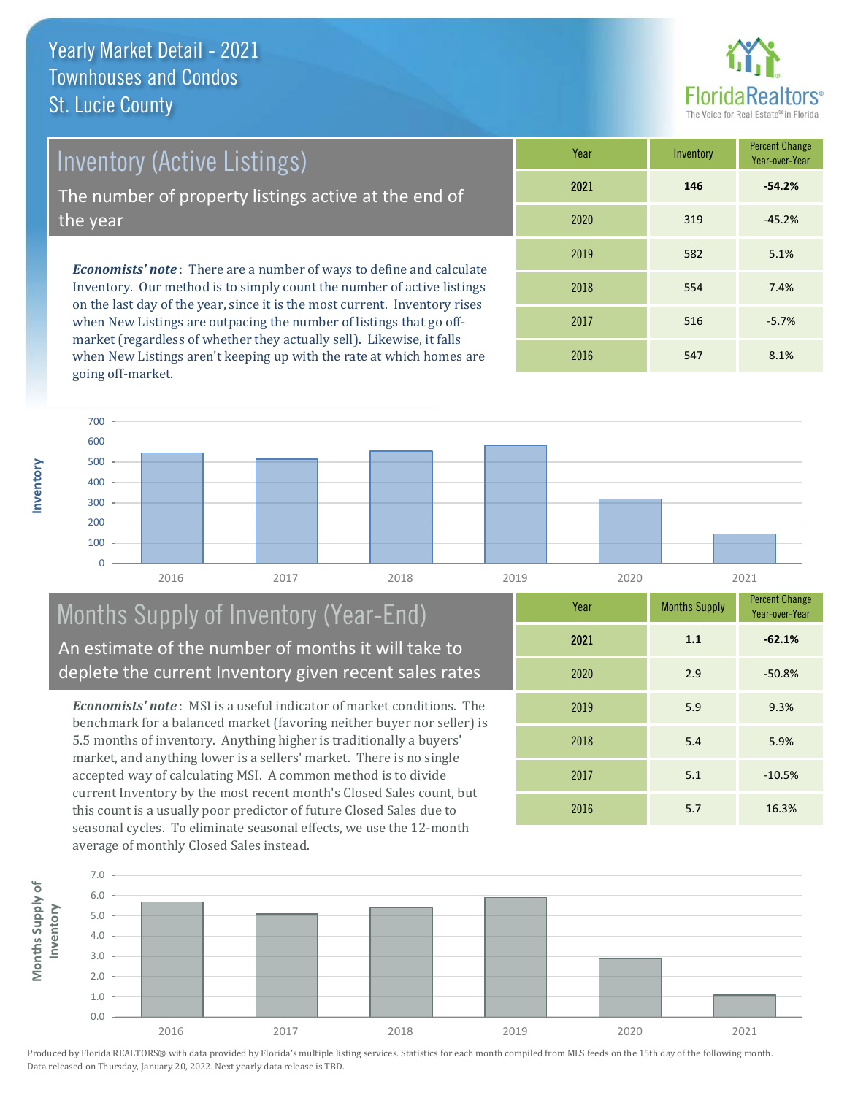Inventory (Active Listings)

The number of property listings active at the end of the year

*Economists' note* : There are a number of ways to define and calculate Inventory. Our method is to simply count the number of active listings on the last day of the year, since it is the most current. Inventory rises when New Listings are outpacing the number of listings that go offmarket (regardless of whether they actually sell). Likewise, it falls when New Listings aren't keeping up with the rate at which homes are going off-market.

| Year | Inventory | <b>Percent Change</b><br>Year-over-Year |
|------|-----------|-----------------------------------------|
| 2021 | 146       | $-54.2%$                                |
| 2020 | 319       | $-45.2%$                                |
| 2019 | 582       | 5.1%                                    |
| 2018 | 554       | 7.4%                                    |
| 2017 | 516       | $-5.7%$                                 |
| 2016 | 547       | 8.1%                                    |

**Inventory**



## Months Supply of Inventory (Year-End) An estimate of the number of months it will take to deplete the current Inventory given recent sales rates

*Economists' note* : MSI is a useful indicator of market conditions. The benchmark for a balanced market (favoring neither buyer nor seller) is 5.5 months of inventory. Anything higher is traditionally a buyers' market, and anything lower is a sellers' market. There is no single accepted way of calculating MSI. A common method is to divide current Inventory by the most recent month's Closed Sales count, but this count is a usually poor predictor of future Closed Sales due to seasonal cycles. To eliminate seasonal effects, we use the 12-month average of monthly Closed Sales instead.

| Year | <b>Months Supply</b> | <b>Percent Change</b><br>Year-over-Year |
|------|----------------------|-----------------------------------------|
| 2021 | 1.1                  | $-62.1%$                                |
| 2020 | 2.9                  | $-50.8%$                                |
| 2019 | 5.9                  | 9.3%                                    |
| 2018 | 5.4                  | 5.9%                                    |
| 2017 | 5.1                  | $-10.5%$                                |
| 2016 | 5.7                  | 16.3%                                   |

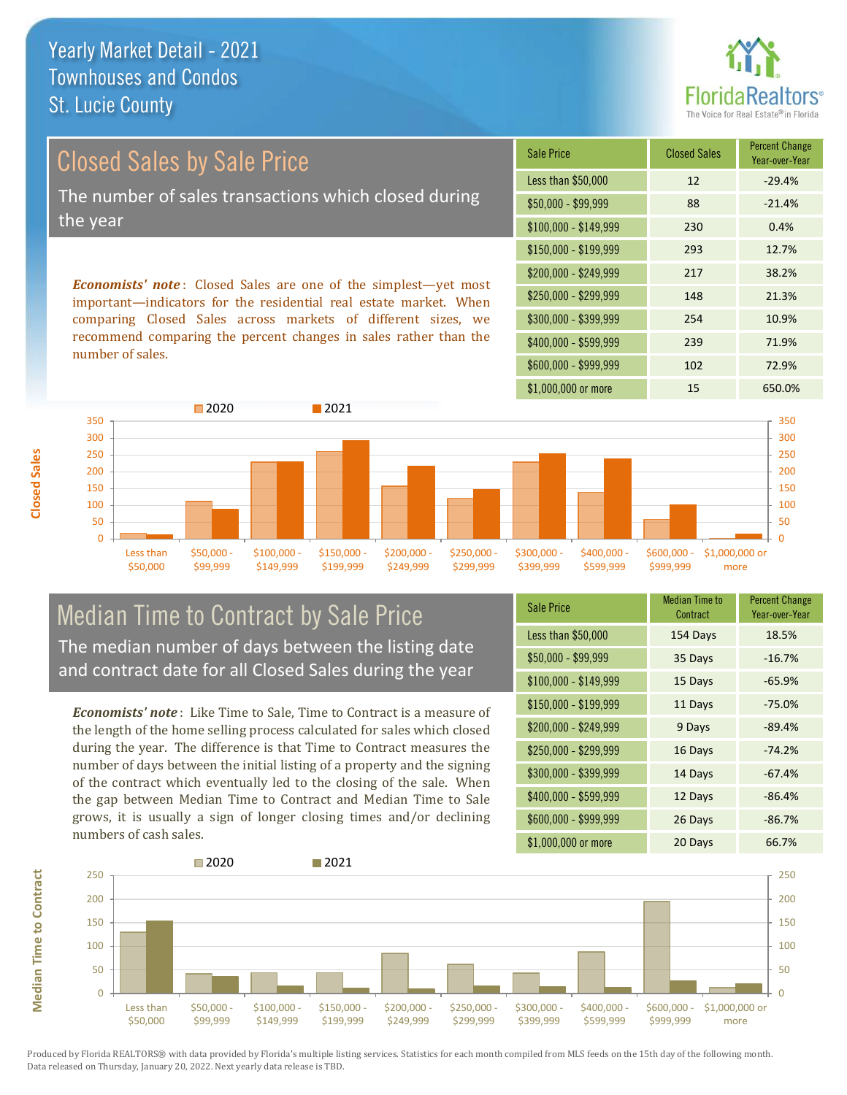

| Closed Sales by Sale Price                           | S             |  |
|------------------------------------------------------|---------------|--|
|                                                      | Ъ             |  |
| The number of sales transactions which closed during |               |  |
| the year                                             |               |  |
|                                                      | $\sqrt[6]{3}$ |  |

*Economists' note* : Closed Sales are one of the simplest—yet most important—indicators for the residential real estate market. When comparing Closed Sales across markets of different sizes, we recommend comparing the percent changes in sales rather than the number of sales.

| <b>Sale Price</b>     | <b>Closed Sales</b> | <b>Percent Change</b><br>Year-over-Year |
|-----------------------|---------------------|-----------------------------------------|
| Less than \$50,000    | 12                  | $-29.4%$                                |
| $$50,000 - $99,999$   | 88                  | $-21.4%$                                |
| $$100,000 - $149,999$ | 230                 | 0.4%                                    |
| $$150,000 - $199,999$ | 293                 | 12.7%                                   |
| \$200,000 - \$249,999 | 217                 | 38.2%                                   |
| \$250,000 - \$299,999 | 148                 | 21.3%                                   |
| \$300,000 - \$399,999 | 254                 | 10.9%                                   |
| \$400,000 - \$599,999 | 239                 | 71.9%                                   |
| \$600,000 - \$999,999 | 102                 | 72.9%                                   |
| \$1,000,000 or more   | 15                  | 650.0%                                  |



## **Median Time to Contract by Sale Price** The median number of days between the listing date and contract date for all Closed Sales during the year

*Economists' note* : Like Time to Sale, Time to Contract is a measure of the length of the home selling process calculated for sales which closed during the year. The difference is that Time to Contract measures the number of days between the initial listing of a property and the signing of the contract which eventually led to the closing of the sale. When the gap between Median Time to Contract and Median Time to Sale grows, it is usually a sign of longer closing times and/or declining numbers of cash sales.

| <b>Sale Price</b>     | <b>Median Time to</b><br>Contract | <b>Percent Change</b><br>Year-over-Year |
|-----------------------|-----------------------------------|-----------------------------------------|
| Less than \$50,000    | 154 Days                          | 18.5%                                   |
| \$50,000 - \$99,999   | 35 Days                           | $-16.7%$                                |
| $$100,000 - $149,999$ | 15 Days                           | $-65.9%$                                |
| $$150,000 - $199,999$ | 11 Days                           | $-75.0%$                                |
| \$200,000 - \$249,999 | 9 Days                            | $-89.4%$                                |
| \$250,000 - \$299,999 | 16 Days                           | $-74.2%$                                |
| \$300,000 - \$399,999 | 14 Days                           | $-67.4%$                                |
| \$400,000 - \$599,999 | 12 Days                           | $-86.4%$                                |
| \$600,000 - \$999,999 | 26 Days                           | $-86.7%$                                |
| \$1,000,000 or more   | 20 Days                           | 66.7%                                   |



**Median Time to Contract**

**Median Time to Contract** 

**Closed Sales**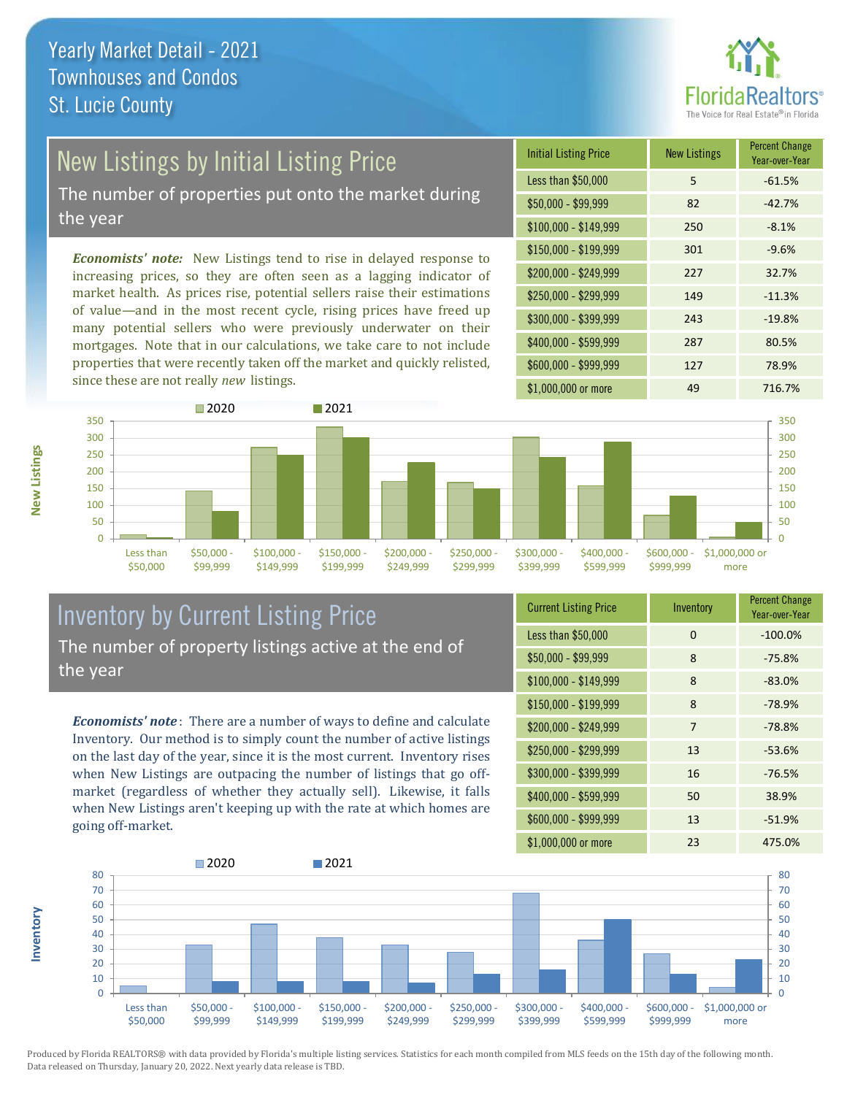

## New Listings by Initial Listing Price

The number of properties put onto the market during the year

*Economists' note:* New Listings tend to rise in delayed response to increasing prices, so they are often seen as a lagging indicator of market health. As prices rise, potential sellers raise their estimations of value—and in the most recent cycle, rising prices have freed up many potential sellers who were previously underwater on their mortgages. Note that in our calculations, we take care to not include properties that were recently taken off the market and quickly relisted, since these are not really *new* listings.

| <b>Initial Listing Price</b> | <b>New Listings</b> | <b>Percent Change</b><br>Year-over-Year |
|------------------------------|---------------------|-----------------------------------------|
| Less than \$50,000           | 5                   | $-61.5%$                                |
| \$50,000 - \$99,999          | 82                  | $-42.7%$                                |
| $$100,000 - $149,999$        | 250                 | $-8.1%$                                 |
| $$150,000 - $199,999$        | 301                 | $-9.6%$                                 |
| \$200,000 - \$249,999        | 227                 | 32.7%                                   |
| \$250,000 - \$299,999        | 149                 | $-11.3%$                                |
| \$300,000 - \$399,999        | 243                 | $-19.8%$                                |
| \$400,000 - \$599,999        | 287                 | 80.5%                                   |
| \$600,000 - \$999,999        | 127                 | 78.9%                                   |
| \$1,000,000 or more          | 49                  | 716.7%                                  |



### Inventory by Current Listing Price The number of property listings active at the end of the year

*Economists' note* : There are a number of ways to define and calculate Inventory. Our method is to simply count the number of active listings on the last day of the year, since it is the most current. Inventory rises when New Listings are outpacing the number of listings that go offmarket (regardless of whether they actually sell). Likewise, it falls when New Listings aren't keeping up with the rate at which homes are going off-market.

| <b>Current Listing Price</b> | Inventory | <b>Percent Change</b><br>Year-over-Year |
|------------------------------|-----------|-----------------------------------------|
| Less than \$50,000           | 0         | $-100.0%$                               |
| \$50,000 - \$99,999          | 8         | $-75.8%$                                |
| $$100,000 - $149,999$        | 8         | $-83.0%$                                |
| $$150,000 - $199,999$        | 8         | $-78.9%$                                |
| \$200,000 - \$249,999        | 7         | $-78.8%$                                |
| \$250,000 - \$299,999        | 13        | $-53.6%$                                |
| \$300,000 - \$399,999        | 16        | $-76.5%$                                |
| \$400,000 - \$599,999        | 50        | 38.9%                                   |
| \$600,000 - \$999,999        | 13        | $-51.9%$                                |
| \$1,000,000 or more          | 23        | 475.0%                                  |



Produced by Florida REALTORS® with data provided by Florida's multiple listing services. Statistics for each month compiled from MLS feeds on the 15th day of the following month. Data released on Thursday, January 20, 2022. Next yearly data release is TBD.

**Inventory**